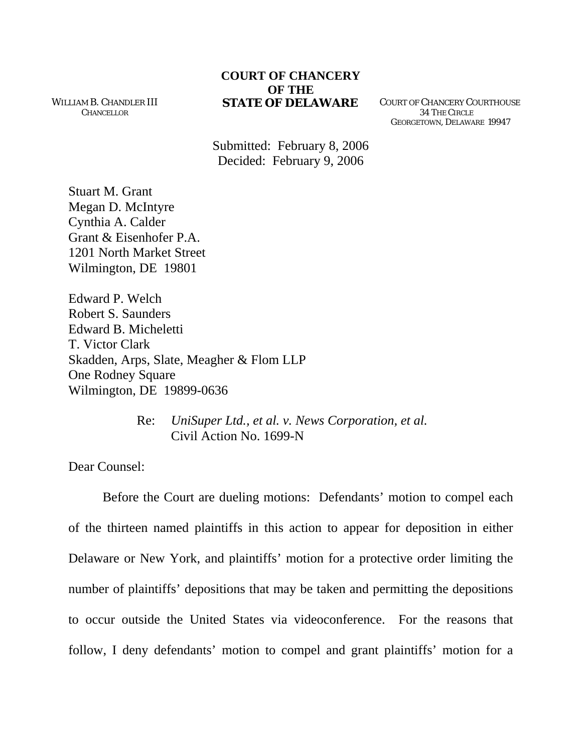WILLIAM B. CHANDLER III **CHANCELLOR** 

## **COURT OF CHANCERY OF THE STATE OF DELAWARE** COURT OF CHANCERY COURTHOUSE

 34 THE CIRCLE GEORGETOWN, DELAWARE 19947

Submitted: February 8, 2006 Decided: February 9, 2006

Stuart M. Grant Megan D. McIntyre Cynthia A. Calder Grant & Eisenhofer P.A. 1201 North Market Street Wilmington, DE 19801

Edward P. Welch Robert S. Saunders Edward B. Micheletti T. Victor Clark Skadden, Arps, Slate, Meagher & Flom LLP One Rodney Square Wilmington, DE 19899-0636

> Re: *UniSuper Ltd., et al. v. News Corporation, et al.* Civil Action No. 1699-N

Dear Counsel:

 Before the Court are dueling motions: Defendants' motion to compel each of the thirteen named plaintiffs in this action to appear for deposition in either Delaware or New York, and plaintiffs' motion for a protective order limiting the number of plaintiffs' depositions that may be taken and permitting the depositions to occur outside the United States via videoconference. For the reasons that follow, I deny defendants' motion to compel and grant plaintiffs' motion for a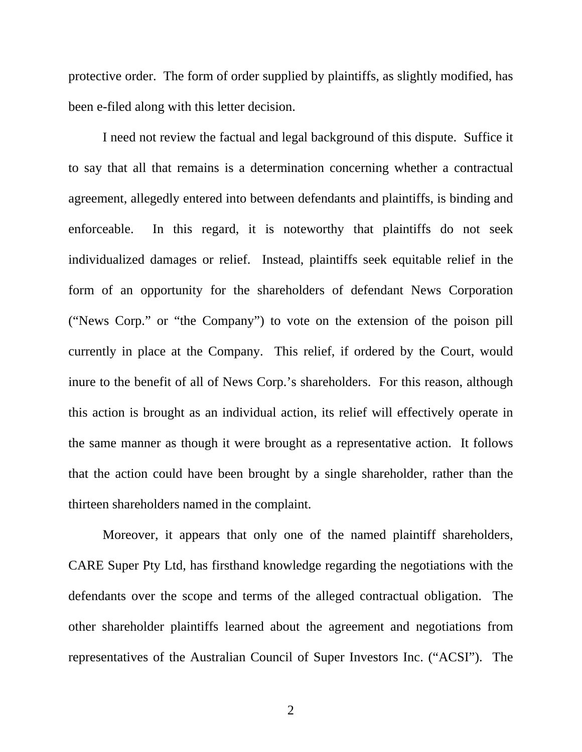protective order. The form of order supplied by plaintiffs, as slightly modified, has been e-filed along with this letter decision.

I need not review the factual and legal background of this dispute. Suffice it to say that all that remains is a determination concerning whether a contractual agreement, allegedly entered into between defendants and plaintiffs, is binding and enforceable. In this regard, it is noteworthy that plaintiffs do not seek individualized damages or relief. Instead, plaintiffs seek equitable relief in the form of an opportunity for the shareholders of defendant News Corporation ("News Corp." or "the Company") to vote on the extension of the poison pill currently in place at the Company. This relief, if ordered by the Court, would inure to the benefit of all of News Corp.'s shareholders. For this reason, although this action is brought as an individual action, its relief will effectively operate in the same manner as though it were brought as a representative action. It follows that the action could have been brought by a single shareholder, rather than the thirteen shareholders named in the complaint.

Moreover, it appears that only one of the named plaintiff shareholders, CARE Super Pty Ltd, has firsthand knowledge regarding the negotiations with the defendants over the scope and terms of the alleged contractual obligation. The other shareholder plaintiffs learned about the agreement and negotiations from representatives of the Australian Council of Super Investors Inc. ("ACSI"). The

2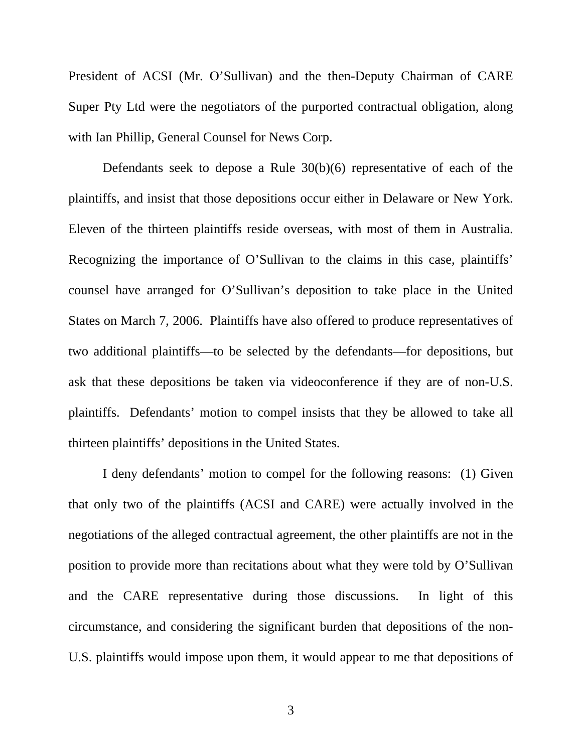President of ACSI (Mr. O'Sullivan) and the then-Deputy Chairman of CARE Super Pty Ltd were the negotiators of the purported contractual obligation, along with Ian Phillip, General Counsel for News Corp.

Defendants seek to depose a Rule 30(b)(6) representative of each of the plaintiffs, and insist that those depositions occur either in Delaware or New York. Eleven of the thirteen plaintiffs reside overseas, with most of them in Australia. Recognizing the importance of O'Sullivan to the claims in this case, plaintiffs' counsel have arranged for O'Sullivan's deposition to take place in the United States on March 7, 2006. Plaintiffs have also offered to produce representatives of two additional plaintiffs—to be selected by the defendants—for depositions, but ask that these depositions be taken via videoconference if they are of non-U.S. plaintiffs. Defendants' motion to compel insists that they be allowed to take all thirteen plaintiffs' depositions in the United States.

I deny defendants' motion to compel for the following reasons: (1) Given that only two of the plaintiffs (ACSI and CARE) were actually involved in the negotiations of the alleged contractual agreement, the other plaintiffs are not in the position to provide more than recitations about what they were told by O'Sullivan and the CARE representative during those discussions. In light of this circumstance, and considering the significant burden that depositions of the non-U.S. plaintiffs would impose upon them, it would appear to me that depositions of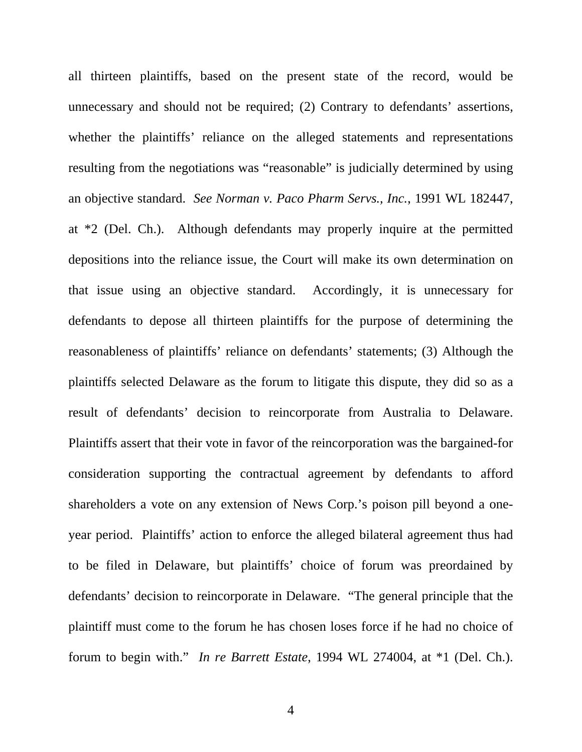all thirteen plaintiffs, based on the present state of the record, would be unnecessary and should not be required; (2) Contrary to defendants' assertions, whether the plaintiffs' reliance on the alleged statements and representations resulting from the negotiations was "reasonable" is judicially determined by using an objective standard. *See Norman v. Paco Pharm Servs., Inc.*, 1991 WL 182447, at \*2 (Del. Ch.). Although defendants may properly inquire at the permitted depositions into the reliance issue, the Court will make its own determination on that issue using an objective standard. Accordingly, it is unnecessary for defendants to depose all thirteen plaintiffs for the purpose of determining the reasonableness of plaintiffs' reliance on defendants' statements; (3) Although the plaintiffs selected Delaware as the forum to litigate this dispute, they did so as a result of defendants' decision to reincorporate from Australia to Delaware. Plaintiffs assert that their vote in favor of the reincorporation was the bargained-for consideration supporting the contractual agreement by defendants to afford shareholders a vote on any extension of News Corp.'s poison pill beyond a oneyear period. Plaintiffs' action to enforce the alleged bilateral agreement thus had to be filed in Delaware, but plaintiffs' choice of forum was preordained by defendants' decision to reincorporate in Delaware. "The general principle that the plaintiff must come to the forum he has chosen loses force if he had no choice of forum to begin with." *In re Barrett Estate*, 1994 WL 274004, at \*1 (Del. Ch.).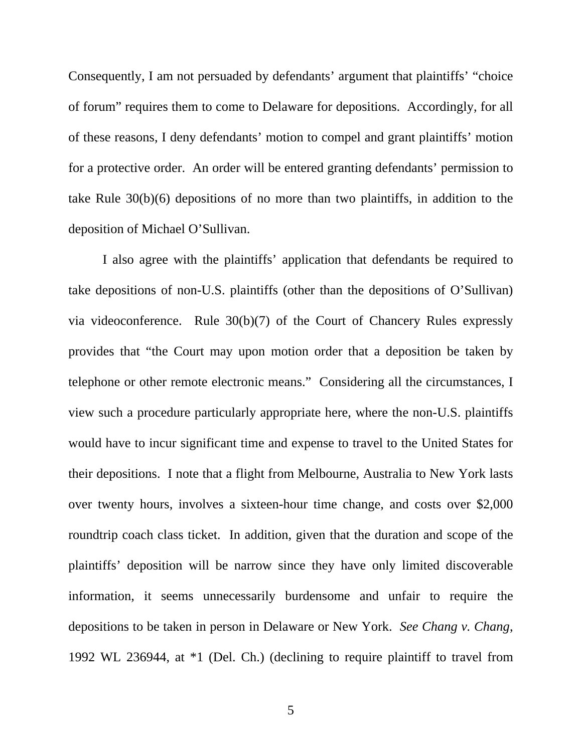Consequently, I am not persuaded by defendants' argument that plaintiffs' "choice of forum" requires them to come to Delaware for depositions. Accordingly, for all of these reasons, I deny defendants' motion to compel and grant plaintiffs' motion for a protective order. An order will be entered granting defendants' permission to take Rule 30(b)(6) depositions of no more than two plaintiffs, in addition to the deposition of Michael O'Sullivan.

I also agree with the plaintiffs' application that defendants be required to take depositions of non-U.S. plaintiffs (other than the depositions of O'Sullivan) via videoconference. Rule 30(b)(7) of the Court of Chancery Rules expressly provides that "the Court may upon motion order that a deposition be taken by telephone or other remote electronic means." Considering all the circumstances, I view such a procedure particularly appropriate here, where the non-U.S. plaintiffs would have to incur significant time and expense to travel to the United States for their depositions. I note that a flight from Melbourne, Australia to New York lasts over twenty hours, involves a sixteen-hour time change, and costs over \$2,000 roundtrip coach class ticket. In addition, given that the duration and scope of the plaintiffs' deposition will be narrow since they have only limited discoverable information, it seems unnecessarily burdensome and unfair to require the depositions to be taken in person in Delaware or New York. *See Chang v. Chang*, 1992 WL 236944, at \*1 (Del. Ch.) (declining to require plaintiff to travel from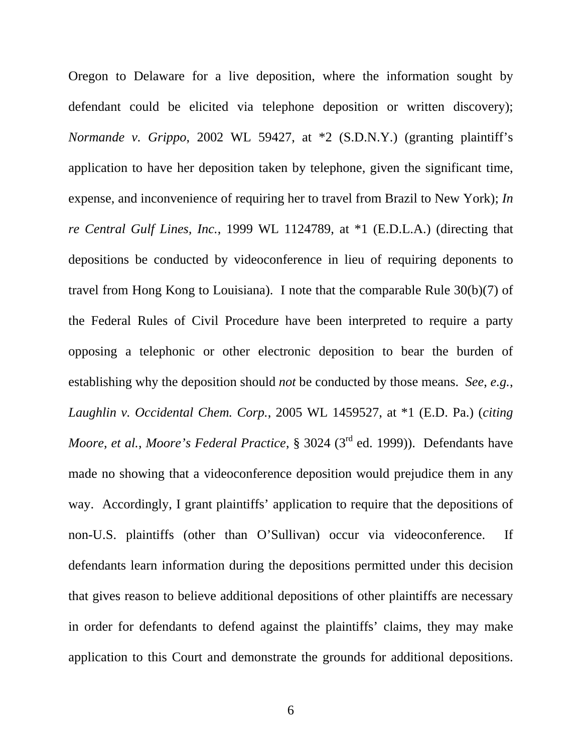Oregon to Delaware for a live deposition, where the information sought by defendant could be elicited via telephone deposition or written discovery); *Normande v. Grippo*, 2002 WL 59427, at \*2 (S.D.N.Y.) (granting plaintiff's application to have her deposition taken by telephone, given the significant time, expense, and inconvenience of requiring her to travel from Brazil to New York); *In re Central Gulf Lines, Inc.*, 1999 WL 1124789, at \*1 (E.D.L.A.) (directing that depositions be conducted by videoconference in lieu of requiring deponents to travel from Hong Kong to Louisiana). I note that the comparable Rule 30(b)(7) of the Federal Rules of Civil Procedure have been interpreted to require a party opposing a telephonic or other electronic deposition to bear the burden of establishing why the deposition should *not* be conducted by those means. *See*, *e.g.*, *Laughlin v. Occidental Chem. Corp.*, 2005 WL 1459527, at \*1 (E.D. Pa.) (*citing Moore, et al., Moore's Federal Practice,* § 3024 (3<sup>rd</sup> ed. 1999)). Defendants have made no showing that a videoconference deposition would prejudice them in any way. Accordingly, I grant plaintiffs' application to require that the depositions of non-U.S. plaintiffs (other than O'Sullivan) occur via videoconference. If defendants learn information during the depositions permitted under this decision that gives reason to believe additional depositions of other plaintiffs are necessary in order for defendants to defend against the plaintiffs' claims, they may make application to this Court and demonstrate the grounds for additional depositions.